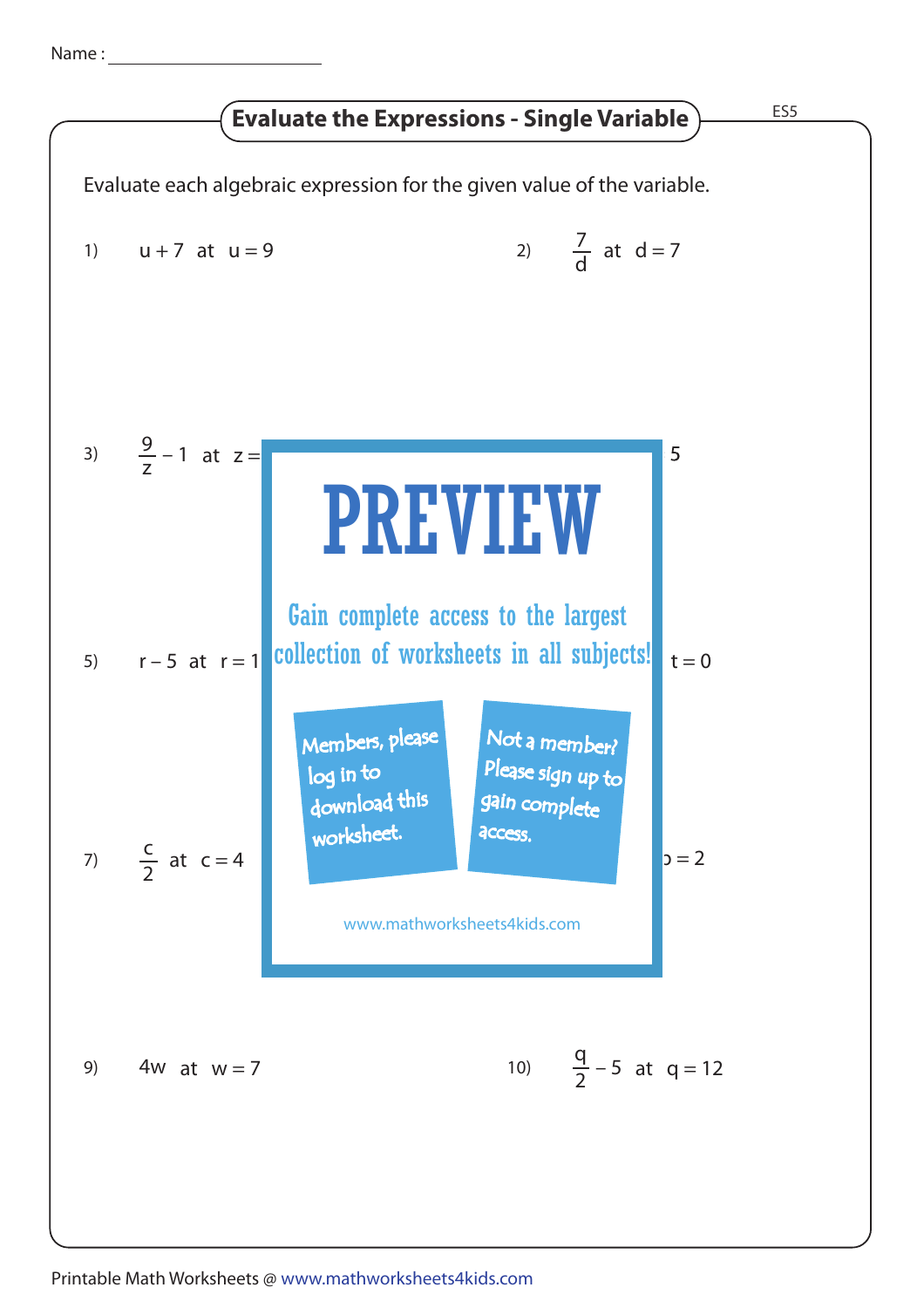